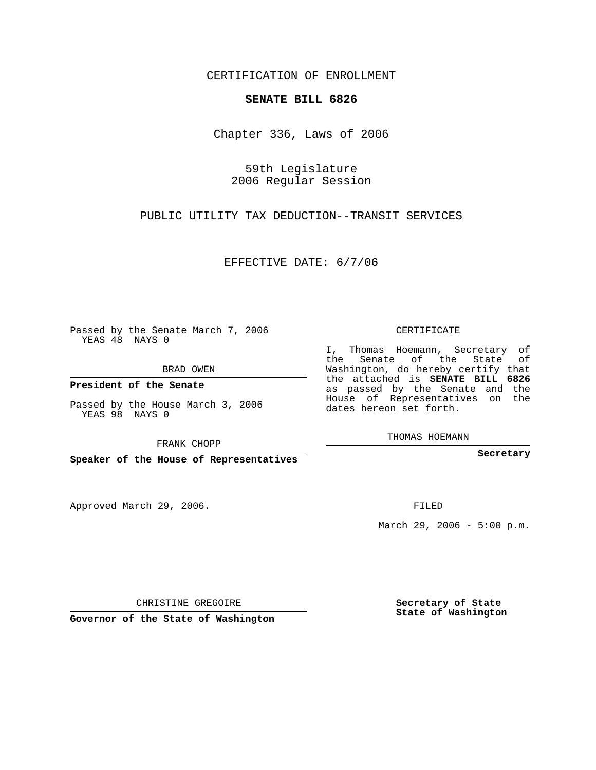CERTIFICATION OF ENROLLMENT

## **SENATE BILL 6826**

Chapter 336, Laws of 2006

59th Legislature 2006 Regular Session

PUBLIC UTILITY TAX DEDUCTION--TRANSIT SERVICES

EFFECTIVE DATE: 6/7/06

Passed by the Senate March 7, 2006 YEAS 48 NAYS 0

BRAD OWEN

**President of the Senate**

Passed by the House March 3, 2006 YEAS 98 NAYS 0

FRANK CHOPP

**Speaker of the House of Representatives**

Approved March 29, 2006.

CERTIFICATE

I, Thomas Hoemann, Secretary of the Senate of the State of Washington, do hereby certify that the attached is **SENATE BILL 6826** as passed by the Senate and the House of Representatives on the dates hereon set forth.

THOMAS HOEMANN

**Secretary**

FILED

March 29, 2006 - 5:00 p.m.

CHRISTINE GREGOIRE

**Governor of the State of Washington**

**Secretary of State State of Washington**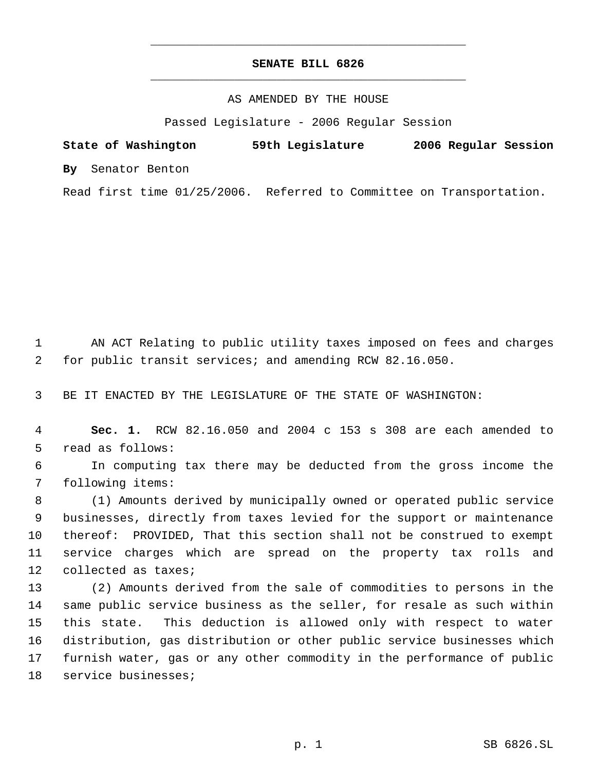## **SENATE BILL 6826** \_\_\_\_\_\_\_\_\_\_\_\_\_\_\_\_\_\_\_\_\_\_\_\_\_\_\_\_\_\_\_\_\_\_\_\_\_\_\_\_\_\_\_\_\_

\_\_\_\_\_\_\_\_\_\_\_\_\_\_\_\_\_\_\_\_\_\_\_\_\_\_\_\_\_\_\_\_\_\_\_\_\_\_\_\_\_\_\_\_\_

## AS AMENDED BY THE HOUSE

Passed Legislature - 2006 Regular Session

**State of Washington 59th Legislature 2006 Regular Session By** Senator Benton Read first time 01/25/2006. Referred to Committee on Transportation.

AN ACT Relating to public utility taxes imposed on fees and charges

for public transit services; and amending RCW 82.16.050.

BE IT ENACTED BY THE LEGISLATURE OF THE STATE OF WASHINGTON:

 **Sec. 1.** RCW 82.16.050 and 2004 c 153 s 308 are each amended to read as follows:

 In computing tax there may be deducted from the gross income the following items:

 (1) Amounts derived by municipally owned or operated public service businesses, directly from taxes levied for the support or maintenance thereof: PROVIDED, That this section shall not be construed to exempt service charges which are spread on the property tax rolls and collected as taxes;

 (2) Amounts derived from the sale of commodities to persons in the same public service business as the seller, for resale as such within this state. This deduction is allowed only with respect to water distribution, gas distribution or other public service businesses which furnish water, gas or any other commodity in the performance of public service businesses;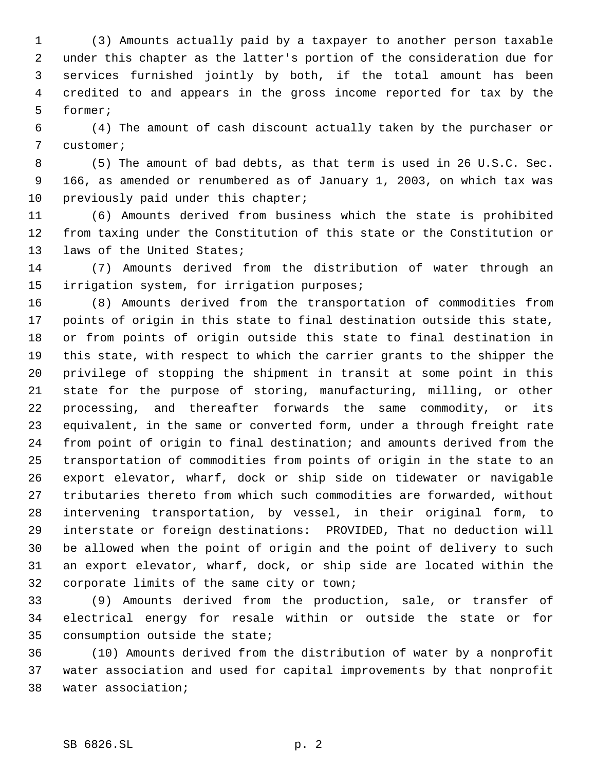(3) Amounts actually paid by a taxpayer to another person taxable under this chapter as the latter's portion of the consideration due for services furnished jointly by both, if the total amount has been credited to and appears in the gross income reported for tax by the former;

 (4) The amount of cash discount actually taken by the purchaser or customer;

 (5) The amount of bad debts, as that term is used in 26 U.S.C. Sec. 166, as amended or renumbered as of January 1, 2003, on which tax was 10 previously paid under this chapter;

 (6) Amounts derived from business which the state is prohibited from taxing under the Constitution of this state or the Constitution or laws of the United States;

 (7) Amounts derived from the distribution of water through an irrigation system, for irrigation purposes;

 (8) Amounts derived from the transportation of commodities from points of origin in this state to final destination outside this state, or from points of origin outside this state to final destination in this state, with respect to which the carrier grants to the shipper the privilege of stopping the shipment in transit at some point in this state for the purpose of storing, manufacturing, milling, or other processing, and thereafter forwards the same commodity, or its equivalent, in the same or converted form, under a through freight rate from point of origin to final destination; and amounts derived from the transportation of commodities from points of origin in the state to an export elevator, wharf, dock or ship side on tidewater or navigable tributaries thereto from which such commodities are forwarded, without intervening transportation, by vessel, in their original form, to interstate or foreign destinations: PROVIDED, That no deduction will be allowed when the point of origin and the point of delivery to such an export elevator, wharf, dock, or ship side are located within the corporate limits of the same city or town;

 (9) Amounts derived from the production, sale, or transfer of electrical energy for resale within or outside the state or for consumption outside the state;

 (10) Amounts derived from the distribution of water by a nonprofit water association and used for capital improvements by that nonprofit water association;